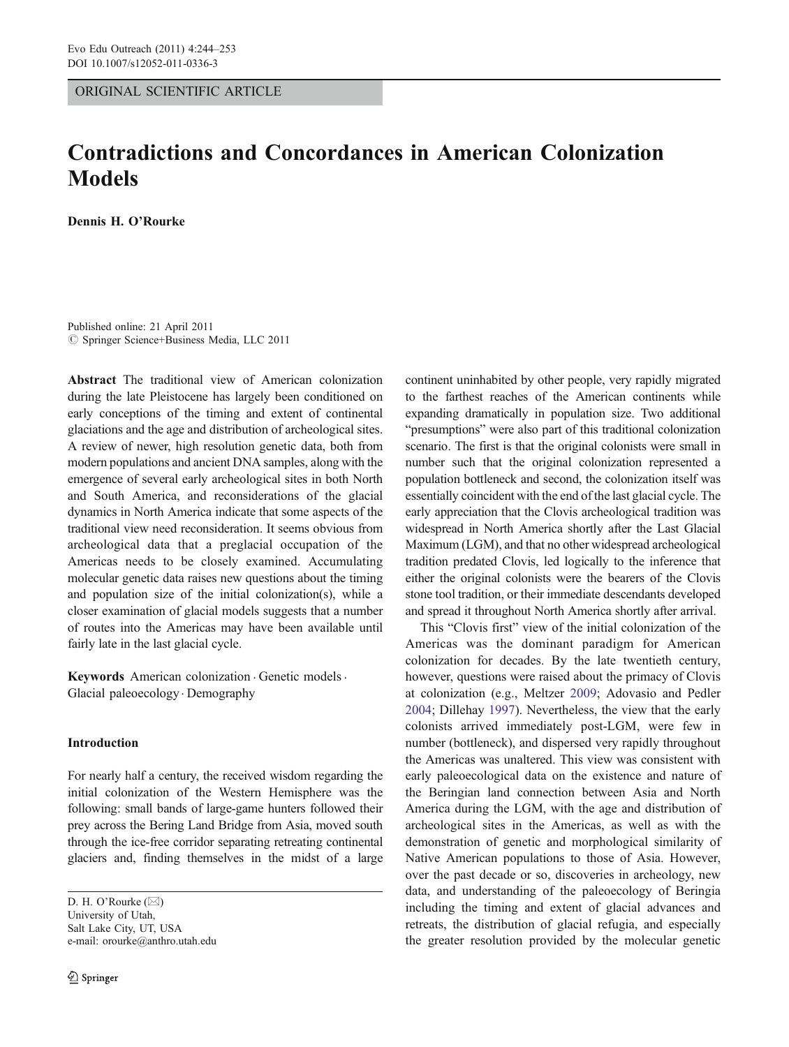ORIGINAL SCIENTIFIC ARTICLE

# Contradictions and Concordances in American Colonization Models

Dennis H. O'Rourke

Published online: 21 April 2011  $©$  Springer Science+Business Media, LLC 2011

Abstract The traditional view of American colonization during the late Pleistocene has largely been conditioned on early conceptions of the timing and extent of continental glaciations and the age and distribution of archeological sites. A review of newer, high resolution genetic data, both from modern populations and ancient DNA samples, along with the emergence of several early archeological sites in both North and South America, and reconsiderations of the glacial dynamics in North America indicate that some aspects of the traditional view need reconsideration. It seems obvious from archeological data that a preglacial occupation of the Americas needs to be closely examined. Accumulating molecular genetic data raises new questions about the timing and population size of the initial colonization(s), while a closer examination of glacial models suggests that a number of routes into the Americas may have been available until fairly late in the last glacial cycle.

Keywords American colonization . Genetic models. Glacial paleoecology . Demography

# Introduction

For nearly half a century, the received wisdom regarding the initial colonization of the Western Hemisphere was the following: small bands of large-game hunters followed their prey across the Bering Land Bridge from Asia, moved south through the ice-free corridor separating retreating continental glaciers and, finding themselves in the midst of a large

D. H. O'Rourke  $(\boxtimes)$ University of Utah, Salt Lake City, UT, USA e-mail: orourke@anthro.utah.edu continent uninhabited by other people, very rapidly migrated to the farthest reaches of the American continents while expanding dramatically in population size. Two additional "presumptions" were also part of this traditional colonization scenario. The first is that the original colonists were small in number such that the original colonization represented a population bottleneck and second, the colonization itself was essentially coincident with the end of the last glacial cycle. The early appreciation that the Clovis archeological tradition was widespread in North America shortly after the Last Glacial Maximum (LGM), and that no other widespread archeological tradition predated Clovis, led logically to the inference that either the original colonists were the bearers of the Clovis stone tool tradition, or their immediate descendants developed and spread it throughout North America shortly after arrival.

This "Clovis first" view of the initial colonization of the Americas was the dominant paradigm for American colonization for decades. By the late twentieth century, however, questions were raised about the primacy of Clovis at colonization (e.g., Meltzer [2009;](#page-8-0) Adovasio and Pedler [2004](#page-7-0); Dillehay [1997\)](#page-7-0). Nevertheless, the view that the early colonists arrived immediately post-LGM, were few in number (bottleneck), and dispersed very rapidly throughout the Americas was unaltered. This view was consistent with early paleoecological data on the existence and nature of the Beringian land connection between Asia and North America during the LGM, with the age and distribution of archeological sites in the Americas, as well as with the demonstration of genetic and morphological similarity of Native American populations to those of Asia. However, over the past decade or so, discoveries in archeology, new data, and understanding of the paleoecology of Beringia including the timing and extent of glacial advances and retreats, the distribution of glacial refugia, and especially the greater resolution provided by the molecular genetic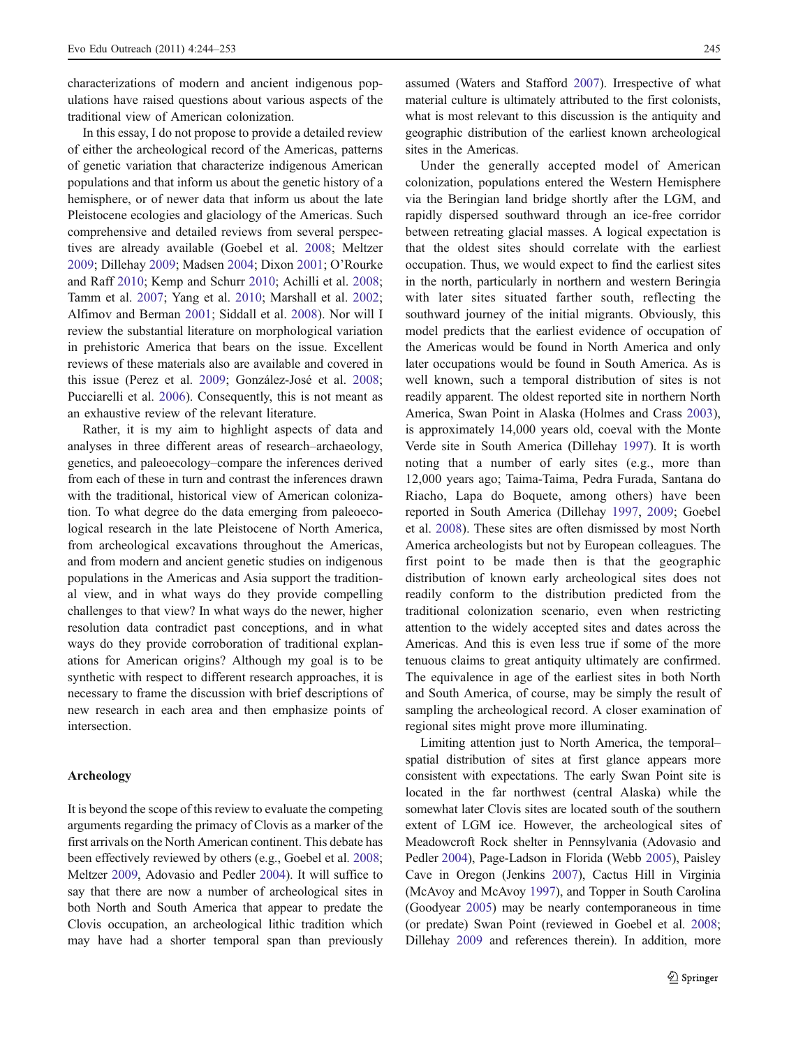characterizations of modern and ancient indigenous populations have raised questions about various aspects of the traditional view of American colonization.

In this essay, I do not propose to provide a detailed review of either the archeological record of the Americas, patterns of genetic variation that characterize indigenous American populations and that inform us about the genetic history of a hemisphere, or of newer data that inform us about the late Pleistocene ecologies and glaciology of the Americas. Such comprehensive and detailed reviews from several perspectives are already available (Goebel et al. [2008](#page-8-0); Meltzer [2009;](#page-8-0) Dillehay [2009;](#page-7-0) Madsen [2004;](#page-8-0) Dixon [2001](#page-7-0); O'Rourke and Raff [2010;](#page-9-0) Kemp and Schurr [2010;](#page-8-0) Achilli et al. [2008](#page-7-0); Tamm et al. [2007;](#page-9-0) Yang et al. [2010;](#page-9-0) Marshall et al. [2002](#page-8-0); Alfimov and Berman [2001;](#page-7-0) Siddall et al. [2008\)](#page-9-0). Nor will I review the substantial literature on morphological variation in prehistoric America that bears on the issue. Excellent reviews of these materials also are available and covered in this issue (Perez et al. [2009](#page-9-0); González-José et al. [2008](#page-8-0); Pucciarelli et al. [2006](#page-9-0)). Consequently, this is not meant as an exhaustive review of the relevant literature.

Rather, it is my aim to highlight aspects of data and analyses in three different areas of research–archaeology, genetics, and paleoecology–compare the inferences derived from each of these in turn and contrast the inferences drawn with the traditional, historical view of American colonization. To what degree do the data emerging from paleoecological research in the late Pleistocene of North America, from archeological excavations throughout the Americas, and from modern and ancient genetic studies on indigenous populations in the Americas and Asia support the traditional view, and in what ways do they provide compelling challenges to that view? In what ways do the newer, higher resolution data contradict past conceptions, and in what ways do they provide corroboration of traditional explanations for American origins? Although my goal is to be synthetic with respect to different research approaches, it is necessary to frame the discussion with brief descriptions of new research in each area and then emphasize points of intersection.

#### Archeology

It is beyond the scope of this review to evaluate the competing arguments regarding the primacy of Clovis as a marker of the first arrivals on the North American continent. This debate has been effectively reviewed by others (e.g., Goebel et al. [2008](#page-8-0); Meltzer [2009,](#page-8-0) Adovasio and Pedler [2004\)](#page-7-0). It will suffice to say that there are now a number of archeological sites in both North and South America that appear to predate the Clovis occupation, an archeological lithic tradition which may have had a shorter temporal span than previously

assumed (Waters and Stafford [2007\)](#page-9-0). Irrespective of what material culture is ultimately attributed to the first colonists, what is most relevant to this discussion is the antiquity and geographic distribution of the earliest known archeological sites in the Americas.

Under the generally accepted model of American colonization, populations entered the Western Hemisphere via the Beringian land bridge shortly after the LGM, and rapidly dispersed southward through an ice-free corridor between retreating glacial masses. A logical expectation is that the oldest sites should correlate with the earliest occupation. Thus, we would expect to find the earliest sites in the north, particularly in northern and western Beringia with later sites situated farther south, reflecting the southward journey of the initial migrants. Obviously, this model predicts that the earliest evidence of occupation of the Americas would be found in North America and only later occupations would be found in South America. As is well known, such a temporal distribution of sites is not readily apparent. The oldest reported site in northern North America, Swan Point in Alaska (Holmes and Crass [2003\)](#page-8-0), is approximately 14,000 years old, coeval with the Monte Verde site in South America (Dillehay [1997](#page-7-0)). It is worth noting that a number of early sites (e.g., more than 12,000 years ago; Taima-Taima, Pedra Furada, Santana do Riacho, Lapa do Boquete, among others) have been reported in South America (Dillehay [1997](#page-7-0), [2009;](#page-7-0) Goebel et al. [2008](#page-8-0)). These sites are often dismissed by most North America archeologists but not by European colleagues. The first point to be made then is that the geographic distribution of known early archeological sites does not readily conform to the distribution predicted from the traditional colonization scenario, even when restricting attention to the widely accepted sites and dates across the Americas. And this is even less true if some of the more tenuous claims to great antiquity ultimately are confirmed. The equivalence in age of the earliest sites in both North and South America, of course, may be simply the result of sampling the archeological record. A closer examination of regional sites might prove more illuminating.

Limiting attention just to North America, the temporal– spatial distribution of sites at first glance appears more consistent with expectations. The early Swan Point site is located in the far northwest (central Alaska) while the somewhat later Clovis sites are located south of the southern extent of LGM ice. However, the archeological sites of Meadowcroft Rock shelter in Pennsylvania (Adovasio and Pedler [2004](#page-7-0)), Page-Ladson in Florida (Webb [2005](#page-9-0)), Paisley Cave in Oregon (Jenkins [2007](#page-8-0)), Cactus Hill in Virginia (McAvoy and McAvoy [1997\)](#page-8-0), and Topper in South Carolina (Goodyear [2005\)](#page-8-0) may be nearly contemporaneous in time (or predate) Swan Point (reviewed in Goebel et al. [2008;](#page-8-0) Dillehay [2009](#page-7-0) and references therein). In addition, more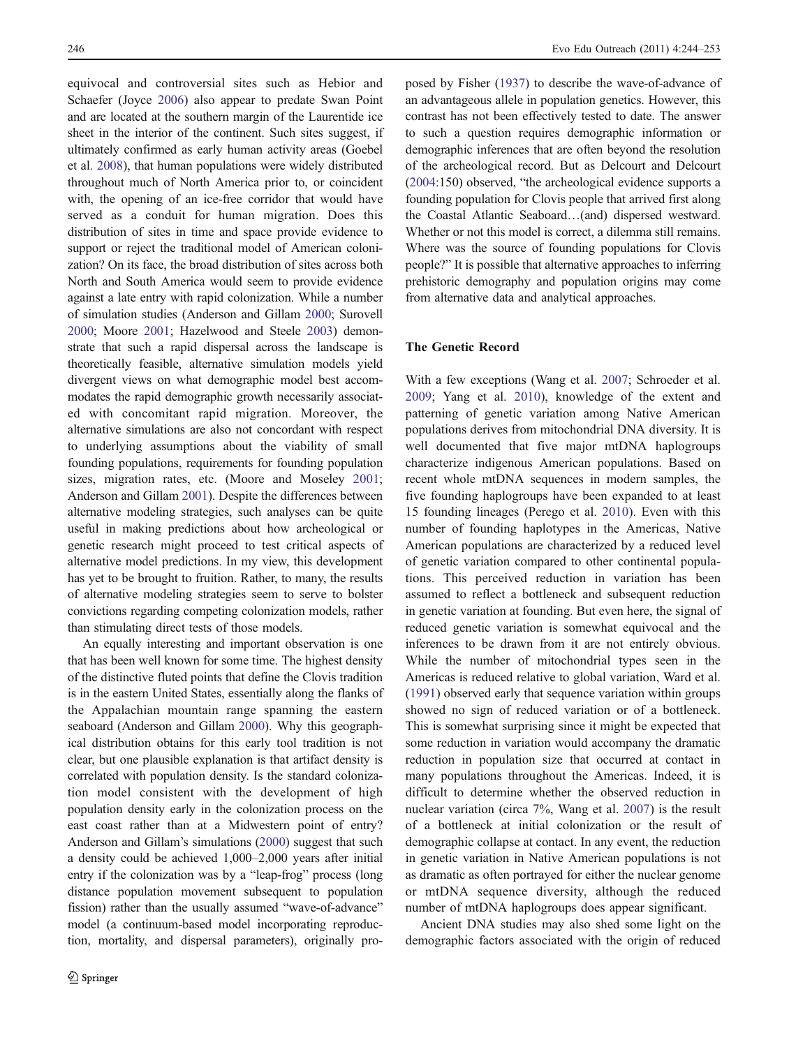equivocal and controversial sites such as Hebior and Schaefer (Joyce [2006\)](#page-8-0) also appear to predate Swan Point and are located at the southern margin of the Laurentide ice sheet in the interior of the continent. Such sites suggest, if ultimately confirmed as early human activity areas (Goebel et al. [2008\)](#page-8-0), that human populations were widely distributed throughout much of North America prior to, or coincident with, the opening of an ice-free corridor that would have served as a conduit for human migration. Does this distribution of sites in time and space provide evidence to support or reject the traditional model of American colonization? On its face, the broad distribution of sites across both North and South America would seem to provide evidence against a late entry with rapid colonization. While a number of simulation studies (Anderson and Gillam [2000](#page-7-0); Surovell [2000;](#page-9-0) Moore [2001](#page-9-0); Hazelwood and Steele [2003](#page-8-0)) demonstrate that such a rapid dispersal across the landscape is theoretically feasible, alternative simulation models yield divergent views on what demographic model best accommodates the rapid demographic growth necessarily associated with concomitant rapid migration. Moreover, the alternative simulations are also not concordant with respect to underlying assumptions about the viability of small founding populations, requirements for founding population sizes, migration rates, etc. (Moore and Moseley [2001](#page-9-0); Anderson and Gillam [2001](#page-7-0)). Despite the differences between alternative modeling strategies, such analyses can be quite useful in making predictions about how archeological or genetic research might proceed to test critical aspects of alternative model predictions. In my view, this development has yet to be brought to fruition. Rather, to many, the results of alternative modeling strategies seem to serve to bolster convictions regarding competing colonization models, rather than stimulating direct tests of those models.

An equally interesting and important observation is one that has been well known for some time. The highest density of the distinctive fluted points that define the Clovis tradition is in the eastern United States, essentially along the flanks of the Appalachian mountain range spanning the eastern seaboard (Anderson and Gillam [2000\)](#page-7-0). Why this geographical distribution obtains for this early tool tradition is not clear, but one plausible explanation is that artifact density is correlated with population density. Is the standard colonization model consistent with the development of high population density early in the colonization process on the east coast rather than at a Midwestern point of entry? Anderson and Gillam's simulations ([2000](#page-7-0)) suggest that such a density could be achieved 1,000–2,000 years after initial entry if the colonization was by a "leap-frog" process (long distance population movement subsequent to population fission) rather than the usually assumed "wave-of-advance" model (a continuum-based model incorporating reproduction, mortality, and dispersal parameters), originally proposed by Fisher ([1937\)](#page-8-0) to describe the wave-of-advance of an advantageous allele in population genetics. However, this contrast has not been effectively tested to date. The answer to such a question requires demographic information or demographic inferences that are often beyond the resolution of the archeological record. But as Delcourt and Delcourt [\(2004:](#page-7-0)150) observed, "the archeological evidence supports a founding population for Clovis people that arrived first along the Coastal Atlantic Seaboard…(and) dispersed westward. Whether or not this model is correct, a dilemma still remains. Where was the source of founding populations for Clovis people?" It is possible that alternative approaches to inferring prehistoric demography and population origins may come from alternative data and analytical approaches.

### The Genetic Record

With a few exceptions (Wang et al. [2007](#page-9-0); Schroeder et al. [2009](#page-9-0); Yang et al. [2010](#page-9-0)), knowledge of the extent and patterning of genetic variation among Native American populations derives from mitochondrial DNA diversity. It is well documented that five major mtDNA haplogroups characterize indigenous American populations. Based on recent whole mtDNA sequences in modern samples, the five founding haplogroups have been expanded to at least 15 founding lineages (Perego et al. [2010\)](#page-9-0). Even with this number of founding haplotypes in the Americas, Native American populations are characterized by a reduced level of genetic variation compared to other continental populations. This perceived reduction in variation has been assumed to reflect a bottleneck and subsequent reduction in genetic variation at founding. But even here, the signal of reduced genetic variation is somewhat equivocal and the inferences to be drawn from it are not entirely obvious. While the number of mitochondrial types seen in the Americas is reduced relative to global variation, Ward et al. [\(1991](#page-9-0)) observed early that sequence variation within groups showed no sign of reduced variation or of a bottleneck. This is somewhat surprising since it might be expected that some reduction in variation would accompany the dramatic reduction in population size that occurred at contact in many populations throughout the Americas. Indeed, it is difficult to determine whether the observed reduction in nuclear variation (circa 7%, Wang et al. [2007\)](#page-9-0) is the result of a bottleneck at initial colonization or the result of demographic collapse at contact. In any event, the reduction in genetic variation in Native American populations is not as dramatic as often portrayed for either the nuclear genome or mtDNA sequence diversity, although the reduced number of mtDNA haplogroups does appear significant.

Ancient DNA studies may also shed some light on the demographic factors associated with the origin of reduced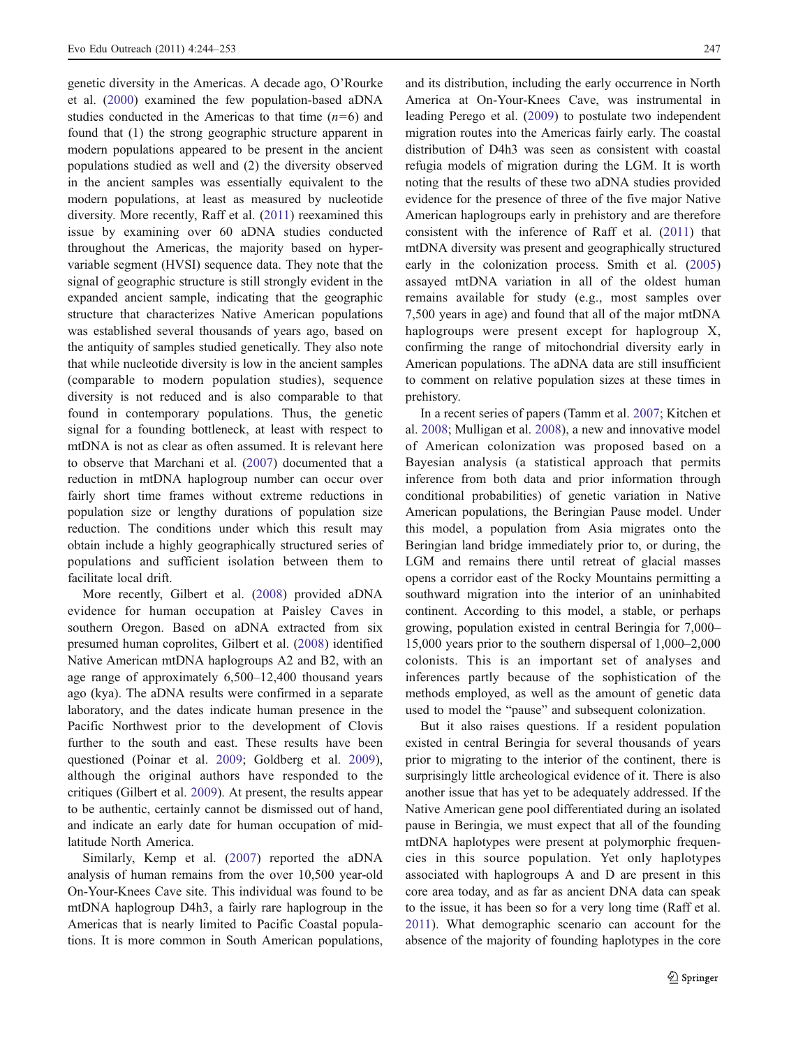genetic diversity in the Americas. A decade ago, O'Rourke et al. [\(2000](#page-9-0)) examined the few population-based aDNA studies conducted in the Americas to that time  $(n=6)$  and found that (1) the strong geographic structure apparent in modern populations appeared to be present in the ancient populations studied as well and (2) the diversity observed in the ancient samples was essentially equivalent to the modern populations, at least as measured by nucleotide diversity. More recently, Raff et al. [\(2011](#page-9-0)) reexamined this issue by examining over 60 aDNA studies conducted throughout the Americas, the majority based on hypervariable segment (HVSI) sequence data. They note that the signal of geographic structure is still strongly evident in the expanded ancient sample, indicating that the geographic structure that characterizes Native American populations was established several thousands of years ago, based on the antiquity of samples studied genetically. They also note that while nucleotide diversity is low in the ancient samples (comparable to modern population studies), sequence diversity is not reduced and is also comparable to that found in contemporary populations. Thus, the genetic signal for a founding bottleneck, at least with respect to mtDNA is not as clear as often assumed. It is relevant here to observe that Marchani et al. [\(2007](#page-8-0)) documented that a reduction in mtDNA haplogroup number can occur over fairly short time frames without extreme reductions in population size or lengthy durations of population size reduction. The conditions under which this result may obtain include a highly geographically structured series of populations and sufficient isolation between them to facilitate local drift.

More recently, Gilbert et al. [\(2008](#page-8-0)) provided aDNA evidence for human occupation at Paisley Caves in southern Oregon. Based on aDNA extracted from six presumed human coprolites, Gilbert et al. ([2008\)](#page-8-0) identified Native American mtDNA haplogroups A2 and B2, with an age range of approximately 6,500–12,400 thousand years ago (kya). The aDNA results were confirmed in a separate laboratory, and the dates indicate human presence in the Pacific Northwest prior to the development of Clovis further to the south and east. These results have been questioned (Poinar et al. [2009](#page-9-0); Goldberg et al. [2009](#page-8-0)), although the original authors have responded to the critiques (Gilbert et al. [2009](#page-8-0)). At present, the results appear to be authentic, certainly cannot be dismissed out of hand, and indicate an early date for human occupation of midlatitude North America.

Similarly, Kemp et al. [\(2007\)](#page-8-0) reported the aDNA analysis of human remains from the over 10,500 year-old On-Your-Knees Cave site. This individual was found to be mtDNA haplogroup D4h3, a fairly rare haplogroup in the Americas that is nearly limited to Pacific Coastal populations. It is more common in South American populations,

and its distribution, including the early occurrence in North America at On-Your-Knees Cave, was instrumental in leading Perego et al. [\(2009](#page-9-0)) to postulate two independent migration routes into the Americas fairly early. The coastal distribution of D4h3 was seen as consistent with coastal refugia models of migration during the LGM. It is worth noting that the results of these two aDNA studies provided evidence for the presence of three of the five major Native American haplogroups early in prehistory and are therefore consistent with the inference of Raff et al. [\(2011\)](#page-9-0) that mtDNA diversity was present and geographically structured early in the colonization process. Smith et al. ([2005](#page-9-0)) assayed mtDNA variation in all of the oldest human remains available for study (e.g., most samples over 7,500 years in age) and found that all of the major mtDNA haplogroups were present except for haplogroup X, confirming the range of mitochondrial diversity early in American populations. The aDNA data are still insufficient to comment on relative population sizes at these times in prehistory.

In a recent series of papers (Tamm et al. [2007](#page-9-0); Kitchen et al. [2008](#page-8-0); Mulligan et al. [2008](#page-9-0)), a new and innovative model of American colonization was proposed based on a Bayesian analysis (a statistical approach that permits inference from both data and prior information through conditional probabilities) of genetic variation in Native American populations, the Beringian Pause model. Under this model, a population from Asia migrates onto the Beringian land bridge immediately prior to, or during, the LGM and remains there until retreat of glacial masses opens a corridor east of the Rocky Mountains permitting a southward migration into the interior of an uninhabited continent. According to this model, a stable, or perhaps growing, population existed in central Beringia for 7,000– 15,000 years prior to the southern dispersal of 1,000–2,000 colonists. This is an important set of analyses and inferences partly because of the sophistication of the methods employed, as well as the amount of genetic data used to model the "pause" and subsequent colonization.

But it also raises questions. If a resident population existed in central Beringia for several thousands of years prior to migrating to the interior of the continent, there is surprisingly little archeological evidence of it. There is also another issue that has yet to be adequately addressed. If the Native American gene pool differentiated during an isolated pause in Beringia, we must expect that all of the founding mtDNA haplotypes were present at polymorphic frequencies in this source population. Yet only haplotypes associated with haplogroups A and D are present in this core area today, and as far as ancient DNA data can speak to the issue, it has been so for a very long time (Raff et al. [2011\)](#page-9-0). What demographic scenario can account for the absence of the majority of founding haplotypes in the core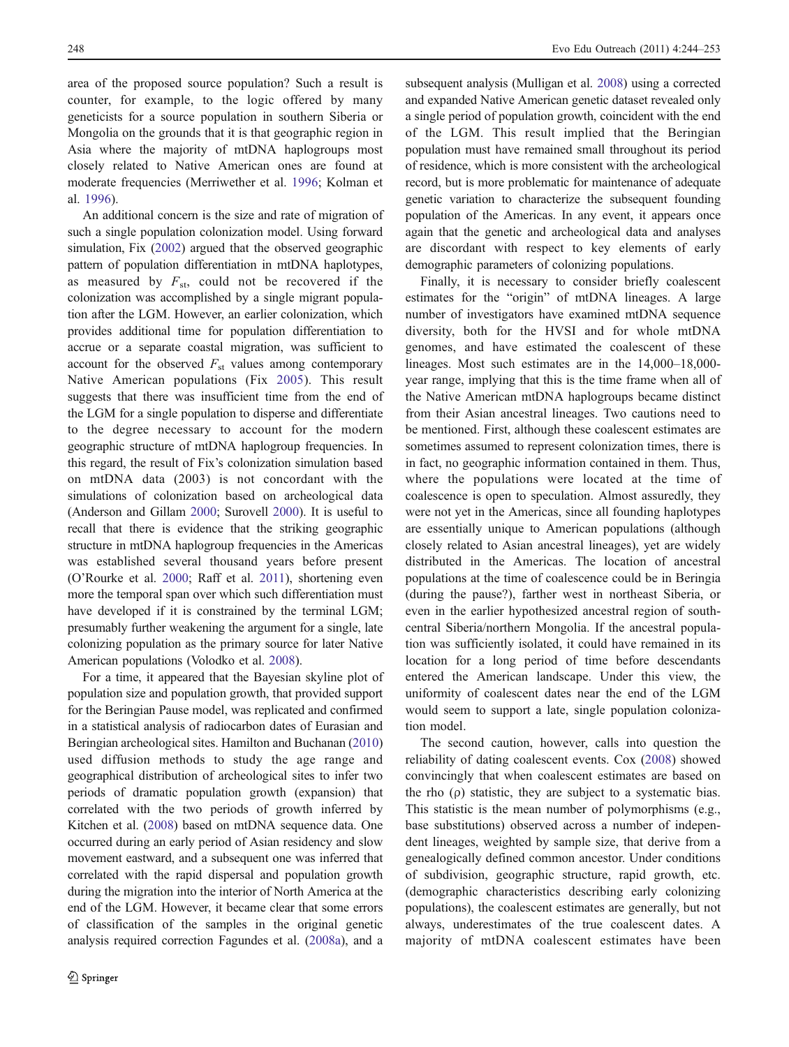area of the proposed source population? Such a result is counter, for example, to the logic offered by many geneticists for a source population in southern Siberia or Mongolia on the grounds that it is that geographic region in Asia where the majority of mtDNA haplogroups most closely related to Native American ones are found at moderate frequencies (Merriwether et al. [1996](#page-8-0); Kolman et al. [1996\)](#page-8-0).

An additional concern is the size and rate of migration of such a single population colonization model. Using forward simulation, Fix [\(2002\)](#page-8-0) argued that the observed geographic pattern of population differentiation in mtDNA haplotypes, as measured by  $F_{\text{st}}$ , could not be recovered if the colonization was accomplished by a single migrant population after the LGM. However, an earlier colonization, which provides additional time for population differentiation to accrue or a separate coastal migration, was sufficient to account for the observed  $F_{st}$  values among contemporary Native American populations (Fix [2005](#page-8-0)). This result suggests that there was insufficient time from the end of the LGM for a single population to disperse and differentiate to the degree necessary to account for the modern geographic structure of mtDNA haplogroup frequencies. In this regard, the result of Fix's colonization simulation based on mtDNA data (2003) is not concordant with the simulations of colonization based on archeological data (Anderson and Gillam [2000](#page-7-0); Surovell [2000\)](#page-9-0). It is useful to recall that there is evidence that the striking geographic structure in mtDNA haplogroup frequencies in the Americas was established several thousand years before present (O'Rourke et al. [2000](#page-9-0); Raff et al. [2011](#page-9-0)), shortening even more the temporal span over which such differentiation must have developed if it is constrained by the terminal LGM; presumably further weakening the argument for a single, late colonizing population as the primary source for later Native American populations (Volodko et al. [2008\)](#page-9-0).

For a time, it appeared that the Bayesian skyline plot of population size and population growth, that provided support for the Beringian Pause model, was replicated and confirmed in a statistical analysis of radiocarbon dates of Eurasian and Beringian archeological sites. Hamilton and Buchanan [\(2010\)](#page-8-0) used diffusion methods to study the age range and geographical distribution of archeological sites to infer two periods of dramatic population growth (expansion) that correlated with the two periods of growth inferred by Kitchen et al. ([2008](#page-8-0)) based on mtDNA sequence data. One occurred during an early period of Asian residency and slow movement eastward, and a subsequent one was inferred that correlated with the rapid dispersal and population growth during the migration into the interior of North America at the end of the LGM. However, it became clear that some errors of classification of the samples in the original genetic analysis required correction Fagundes et al. [\(2008a](#page-8-0)), and a

subsequent analysis (Mulligan et al. [2008\)](#page-9-0) using a corrected and expanded Native American genetic dataset revealed only a single period of population growth, coincident with the end of the LGM. This result implied that the Beringian population must have remained small throughout its period of residence, which is more consistent with the archeological record, but is more problematic for maintenance of adequate genetic variation to characterize the subsequent founding population of the Americas. In any event, it appears once again that the genetic and archeological data and analyses are discordant with respect to key elements of early demographic parameters of colonizing populations.

Finally, it is necessary to consider briefly coalescent estimates for the "origin" of mtDNA lineages. A large number of investigators have examined mtDNA sequence diversity, both for the HVSI and for whole mtDNA genomes, and have estimated the coalescent of these lineages. Most such estimates are in the 14,000–18,000 year range, implying that this is the time frame when all of the Native American mtDNA haplogroups became distinct from their Asian ancestral lineages. Two cautions need to be mentioned. First, although these coalescent estimates are sometimes assumed to represent colonization times, there is in fact, no geographic information contained in them. Thus, where the populations were located at the time of coalescence is open to speculation. Almost assuredly, they were not yet in the Americas, since all founding haplotypes are essentially unique to American populations (although closely related to Asian ancestral lineages), yet are widely distributed in the Americas. The location of ancestral populations at the time of coalescence could be in Beringia (during the pause?), farther west in northeast Siberia, or even in the earlier hypothesized ancestral region of southcentral Siberia/northern Mongolia. If the ancestral population was sufficiently isolated, it could have remained in its location for a long period of time before descendants entered the American landscape. Under this view, the uniformity of coalescent dates near the end of the LGM would seem to support a late, single population colonization model.

The second caution, however, calls into question the reliability of dating coalescent events. Cox [\(2008](#page-7-0)) showed convincingly that when coalescent estimates are based on the rho (ρ) statistic, they are subject to a systematic bias. This statistic is the mean number of polymorphisms (e.g., base substitutions) observed across a number of independent lineages, weighted by sample size, that derive from a genealogically defined common ancestor. Under conditions of subdivision, geographic structure, rapid growth, etc. (demographic characteristics describing early colonizing populations), the coalescent estimates are generally, but not always, underestimates of the true coalescent dates. A majority of mtDNA coalescent estimates have been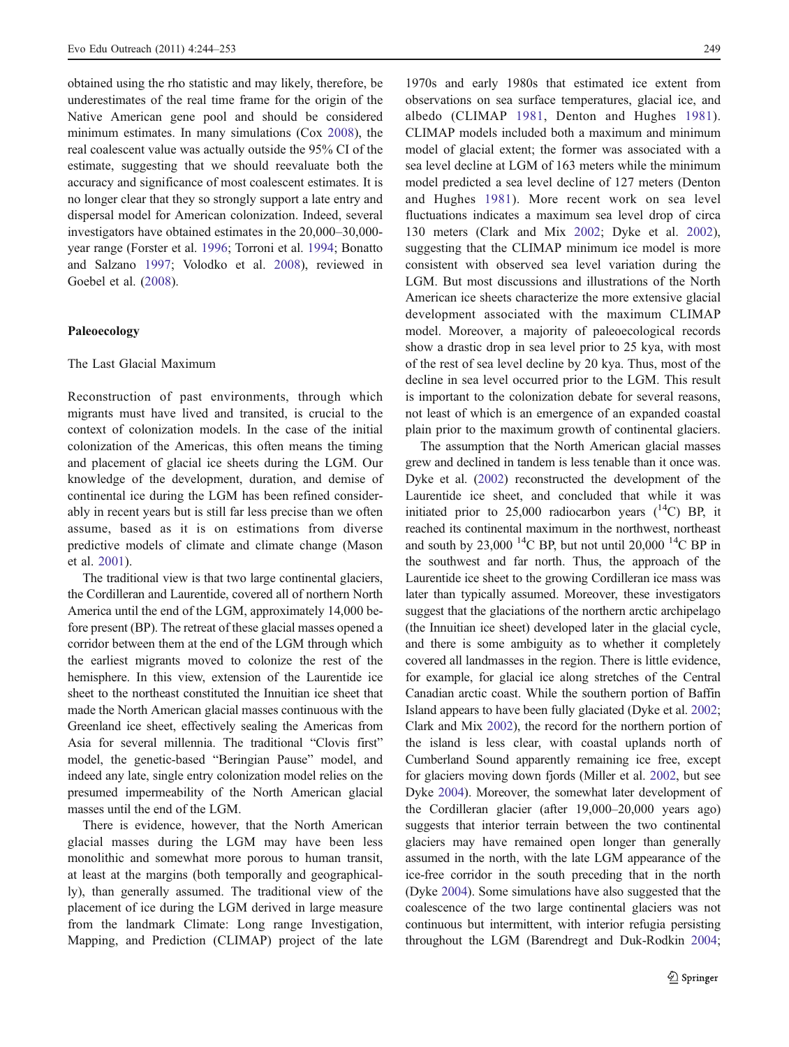obtained using the rho statistic and may likely, therefore, be underestimates of the real time frame for the origin of the Native American gene pool and should be considered minimum estimates. In many simulations (Cox [2008](#page-7-0)), the real coalescent value was actually outside the 95% CI of the estimate, suggesting that we should reevaluate both the accuracy and significance of most coalescent estimates. It is no longer clear that they so strongly support a late entry and dispersal model for American colonization. Indeed, several investigators have obtained estimates in the 20,000–30,000 year range (Forster et al. [1996;](#page-8-0) Torroni et al. [1994](#page-9-0); Bonatto and Salzano [1997](#page-7-0); Volodko et al. [2008](#page-9-0)), reviewed in Goebel et al. [\(2008](#page-8-0)).

## Paleoecology

#### The Last Glacial Maximum

Reconstruction of past environments, through which migrants must have lived and transited, is crucial to the context of colonization models. In the case of the initial colonization of the Americas, this often means the timing and placement of glacial ice sheets during the LGM. Our knowledge of the development, duration, and demise of continental ice during the LGM has been refined considerably in recent years but is still far less precise than we often assume, based as it is on estimations from diverse predictive models of climate and climate change (Mason et al. [2001](#page-8-0)).

The traditional view is that two large continental glaciers, the Cordilleran and Laurentide, covered all of northern North America until the end of the LGM, approximately 14,000 before present (BP). The retreat of these glacial masses opened a corridor between them at the end of the LGM through which the earliest migrants moved to colonize the rest of the hemisphere. In this view, extension of the Laurentide ice sheet to the northeast constituted the Innuitian ice sheet that made the North American glacial masses continuous with the Greenland ice sheet, effectively sealing the Americas from Asia for several millennia. The traditional "Clovis first" model, the genetic-based "Beringian Pause" model, and indeed any late, single entry colonization model relies on the presumed impermeability of the North American glacial masses until the end of the LGM.

There is evidence, however, that the North American glacial masses during the LGM may have been less monolithic and somewhat more porous to human transit, at least at the margins (both temporally and geographically), than generally assumed. The traditional view of the placement of ice during the LGM derived in large measure from the landmark Climate: Long range Investigation, Mapping, and Prediction (CLIMAP) project of the late

1970s and early 1980s that estimated ice extent from observations on sea surface temperatures, glacial ice, and albedo (CLIMAP [1981,](#page-7-0) Denton and Hughes [1981](#page-7-0)). CLIMAP models included both a maximum and minimum model of glacial extent; the former was associated with a sea level decline at LGM of 163 meters while the minimum model predicted a sea level decline of 127 meters (Denton and Hughes [1981\)](#page-7-0). More recent work on sea level fluctuations indicates a maximum sea level drop of circa 130 meters (Clark and Mix [2002;](#page-7-0) Dyke et al. [2002\)](#page-8-0), suggesting that the CLIMAP minimum ice model is more consistent with observed sea level variation during the LGM. But most discussions and illustrations of the North American ice sheets characterize the more extensive glacial development associated with the maximum CLIMAP model. Moreover, a majority of paleoecological records show a drastic drop in sea level prior to 25 kya, with most of the rest of sea level decline by 20 kya. Thus, most of the decline in sea level occurred prior to the LGM. This result is important to the colonization debate for several reasons, not least of which is an emergence of an expanded coastal plain prior to the maximum growth of continental glaciers.

The assumption that the North American glacial masses grew and declined in tandem is less tenable than it once was. Dyke et al. ([2002\)](#page-8-0) reconstructed the development of the Laurentide ice sheet, and concluded that while it was initiated prior to 25,000 radiocarbon years  $(^{14}C)$  BP, it reached its continental maximum in the northwest, northeast and south by  $23,000^{14}$ C BP, but not until  $20,000^{14}$ C BP in the southwest and far north. Thus, the approach of the Laurentide ice sheet to the growing Cordilleran ice mass was later than typically assumed. Moreover, these investigators suggest that the glaciations of the northern arctic archipelago (the Innuitian ice sheet) developed later in the glacial cycle, and there is some ambiguity as to whether it completely covered all landmasses in the region. There is little evidence, for example, for glacial ice along stretches of the Central Canadian arctic coast. While the southern portion of Baffin Island appears to have been fully glaciated (Dyke et al. [2002;](#page-8-0) Clark and Mix [2002](#page-7-0)), the record for the northern portion of the island is less clear, with coastal uplands north of Cumberland Sound apparently remaining ice free, except for glaciers moving down fjords (Miller et al. [2002](#page-9-0), but see Dyke [2004](#page-7-0)). Moreover, the somewhat later development of the Cordilleran glacier (after 19,000–20,000 years ago) suggests that interior terrain between the two continental glaciers may have remained open longer than generally assumed in the north, with the late LGM appearance of the ice-free corridor in the south preceding that in the north (Dyke [2004\)](#page-7-0). Some simulations have also suggested that the coalescence of the two large continental glaciers was not continuous but intermittent, with interior refugia persisting throughout the LGM (Barendregt and Duk-Rodkin [2004;](#page-7-0)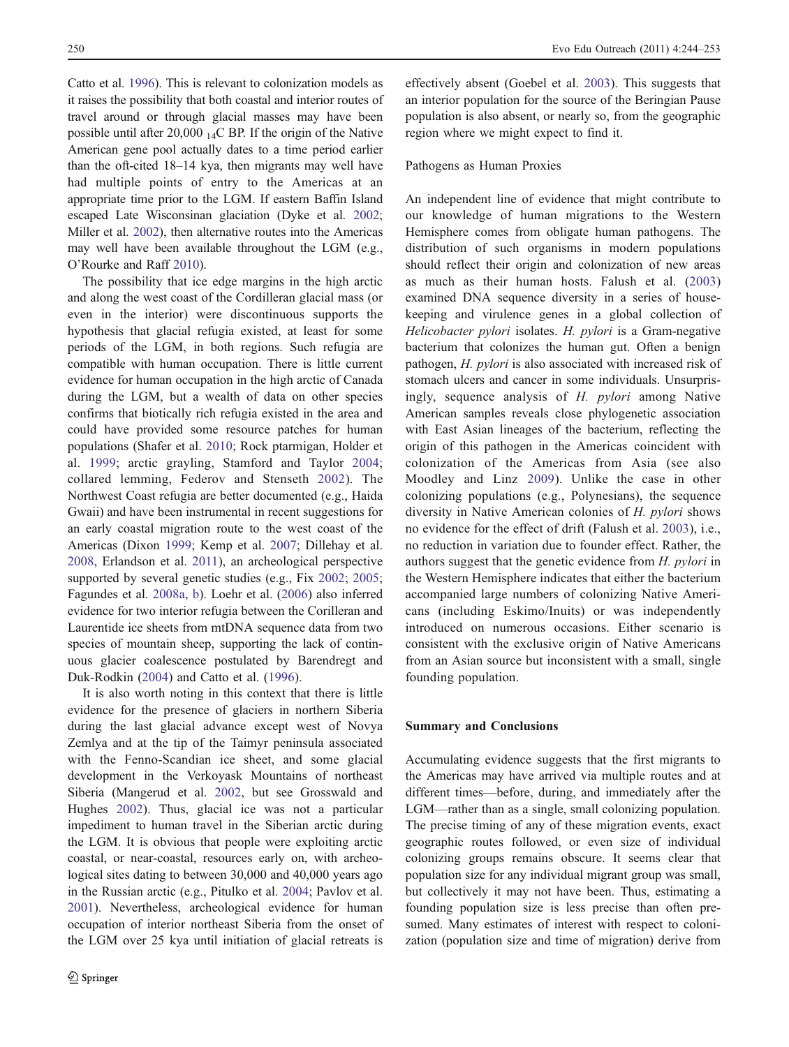Catto et al. [1996\)](#page-7-0). This is relevant to colonization models as it raises the possibility that both coastal and interior routes of travel around or through glacial masses may have been possible until after 20,000  $_{14}C$  BP. If the origin of the Native American gene pool actually dates to a time period earlier than the oft-cited 18–14 kya, then migrants may well have had multiple points of entry to the Americas at an appropriate time prior to the LGM. If eastern Baffin Island escaped Late Wisconsinan glaciation (Dyke et al. [2002](#page-8-0); Miller et al. [2002](#page-9-0)), then alternative routes into the Americas may well have been available throughout the LGM (e.g., O'Rourke and Raff [2010](#page-9-0)).

The possibility that ice edge margins in the high arctic and along the west coast of the Cordilleran glacial mass (or even in the interior) were discontinuous supports the hypothesis that glacial refugia existed, at least for some periods of the LGM, in both regions. Such refugia are compatible with human occupation. There is little current evidence for human occupation in the high arctic of Canada during the LGM, but a wealth of data on other species confirms that biotically rich refugia existed in the area and could have provided some resource patches for human populations (Shafer et al. [2010;](#page-9-0) Rock ptarmigan, Holder et al. [1999;](#page-8-0) arctic grayling, Stamford and Taylor [2004](#page-9-0); collared lemming, Federov and Stenseth [2002\)](#page-8-0). The Northwest Coast refugia are better documented (e.g., Haida Gwaii) and have been instrumental in recent suggestions for an early coastal migration route to the west coast of the Americas (Dixon [1999;](#page-7-0) Kemp et al. [2007;](#page-8-0) Dillehay et al. [2008,](#page-7-0) Erlandson et al. [2011\)](#page-8-0), an archeological perspective supported by several genetic studies (e.g., Fix [2002](#page-8-0); [2005](#page-8-0); Fagundes et al. [2008a,](#page-8-0) [b](#page-8-0)). Loehr et al. [\(2006](#page-8-0)) also inferred evidence for two interior refugia between the Corilleran and Laurentide ice sheets from mtDNA sequence data from two species of mountain sheep, supporting the lack of continuous glacier coalescence postulated by Barendregt and Duk-Rodkin [\(2004](#page-7-0)) and Catto et al. ([1996](#page-7-0)).

It is also worth noting in this context that there is little evidence for the presence of glaciers in northern Siberia during the last glacial advance except west of Novya Zemlya and at the tip of the Taimyr peninsula associated with the Fenno-Scandian ice sheet, and some glacial development in the Verkoyask Mountains of northeast Siberia (Mangerud et al. [2002](#page-8-0), but see Grosswald and Hughes [2002\)](#page-8-0). Thus, glacial ice was not a particular impediment to human travel in the Siberian arctic during the LGM. It is obvious that people were exploiting arctic coastal, or near-coastal, resources early on, with archeological sites dating to between 30,000 and 40,000 years ago in the Russian arctic (e.g., Pitulko et al. [2004](#page-9-0); Pavlov et al. [2001](#page-9-0)). Nevertheless, archeological evidence for human occupation of interior northeast Siberia from the onset of the LGM over 25 kya until initiation of glacial retreats is

effectively absent (Goebel et al. [2003](#page-8-0)). This suggests that an interior population for the source of the Beringian Pause population is also absent, or nearly so, from the geographic region where we might expect to find it.

#### Pathogens as Human Proxies

An independent line of evidence that might contribute to our knowledge of human migrations to the Western Hemisphere comes from obligate human pathogens. The distribution of such organisms in modern populations should reflect their origin and colonization of new areas as much as their human hosts. Falush et al. ([2003](#page-8-0)) examined DNA sequence diversity in a series of housekeeping and virulence genes in a global collection of Helicobacter pylori isolates. H. pylori is a Gram-negative bacterium that colonizes the human gut. Often a benign pathogen, H. pylori is also associated with increased risk of stomach ulcers and cancer in some individuals. Unsurprisingly, sequence analysis of H. pylori among Native American samples reveals close phylogenetic association with East Asian lineages of the bacterium, reflecting the origin of this pathogen in the Americas coincident with colonization of the Americas from Asia (see also Moodley and Linz [2009\)](#page-9-0). Unlike the case in other colonizing populations (e.g., Polynesians), the sequence diversity in Native American colonies of H. pylori shows no evidence for the effect of drift (Falush et al. [2003\)](#page-8-0), i.e., no reduction in variation due to founder effect. Rather, the authors suggest that the genetic evidence from H. pylori in the Western Hemisphere indicates that either the bacterium accompanied large numbers of colonizing Native Americans (including Eskimo/Inuits) or was independently introduced on numerous occasions. Either scenario is consistent with the exclusive origin of Native Americans from an Asian source but inconsistent with a small, single founding population.

#### Summary and Conclusions

Accumulating evidence suggests that the first migrants to the Americas may have arrived via multiple routes and at different times—before, during, and immediately after the LGM—rather than as a single, small colonizing population. The precise timing of any of these migration events, exact geographic routes followed, or even size of individual colonizing groups remains obscure. It seems clear that population size for any individual migrant group was small, but collectively it may not have been. Thus, estimating a founding population size is less precise than often presumed. Many estimates of interest with respect to colonization (population size and time of migration) derive from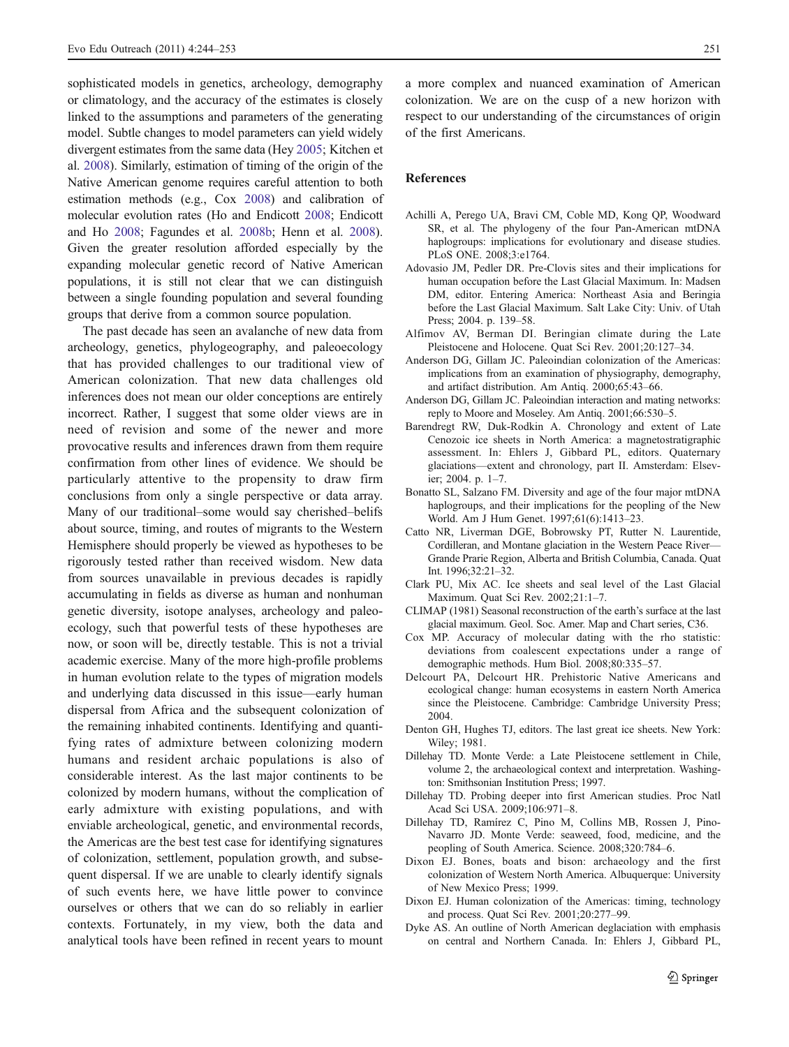<span id="page-7-0"></span>sophisticated models in genetics, archeology, demography or climatology, and the accuracy of the estimates is closely linked to the assumptions and parameters of the generating model. Subtle changes to model parameters can yield widely divergent estimates from the same data (Hey [2005](#page-8-0); Kitchen et al. [2008\)](#page-8-0). Similarly, estimation of timing of the origin of the Native American genome requires careful attention to both estimation methods (e.g., Cox 2008) and calibration of molecular evolution rates (Ho and Endicott [2008;](#page-8-0) Endicott and Ho [2008](#page-8-0); Fagundes et al. [2008b](#page-8-0); Henn et al. [2008\)](#page-8-0). Given the greater resolution afforded especially by the expanding molecular genetic record of Native American populations, it is still not clear that we can distinguish between a single founding population and several founding groups that derive from a common source population.

The past decade has seen an avalanche of new data from archeology, genetics, phylogeography, and paleoecology that has provided challenges to our traditional view of American colonization. That new data challenges old inferences does not mean our older conceptions are entirely incorrect. Rather, I suggest that some older views are in need of revision and some of the newer and more provocative results and inferences drawn from them require confirmation from other lines of evidence. We should be particularly attentive to the propensity to draw firm conclusions from only a single perspective or data array. Many of our traditional–some would say cherished–belifs about source, timing, and routes of migrants to the Western Hemisphere should properly be viewed as hypotheses to be rigorously tested rather than received wisdom. New data from sources unavailable in previous decades is rapidly accumulating in fields as diverse as human and nonhuman genetic diversity, isotope analyses, archeology and paleoecology, such that powerful tests of these hypotheses are now, or soon will be, directly testable. This is not a trivial academic exercise. Many of the more high-profile problems in human evolution relate to the types of migration models and underlying data discussed in this issue—early human dispersal from Africa and the subsequent colonization of the remaining inhabited continents. Identifying and quantifying rates of admixture between colonizing modern humans and resident archaic populations is also of considerable interest. As the last major continents to be colonized by modern humans, without the complication of early admixture with existing populations, and with enviable archeological, genetic, and environmental records, the Americas are the best test case for identifying signatures of colonization, settlement, population growth, and subsequent dispersal. If we are unable to clearly identify signals of such events here, we have little power to convince ourselves or others that we can do so reliably in earlier contexts. Fortunately, in my view, both the data and analytical tools have been refined in recent years to mount

a more complex and nuanced examination of American colonization. We are on the cusp of a new horizon with respect to our understanding of the circumstances of origin of the first Americans.

### References

- Achilli A, Perego UA, Bravi CM, Coble MD, Kong QP, Woodward SR, et al. The phylogeny of the four Pan-American mtDNA haplogroups: implications for evolutionary and disease studies. PLoS ONE. 2008;3:e1764.
- Adovasio JM, Pedler DR. Pre-Clovis sites and their implications for human occupation before the Last Glacial Maximum. In: Madsen DM, editor. Entering America: Northeast Asia and Beringia before the Last Glacial Maximum. Salt Lake City: Univ. of Utah Press; 2004. p. 139–58.
- Alfimov AV, Berman DI. Beringian climate during the Late Pleistocene and Holocene. Quat Sci Rev. 2001;20:127–34.
- Anderson DG, Gillam JC. Paleoindian colonization of the Americas: implications from an examination of physiography, demography, and artifact distribution. Am Antiq. 2000;65:43–66.
- Anderson DG, Gillam JC. Paleoindian interaction and mating networks: reply to Moore and Moseley. Am Antiq. 2001;66:530–5.
- Barendregt RW, Duk-Rodkin A. Chronology and extent of Late Cenozoic ice sheets in North America: a magnetostratigraphic assessment. In: Ehlers J, Gibbard PL, editors. Quaternary glaciations—extent and chronology, part II. Amsterdam: Elsevier; 2004. p. 1–7.
- Bonatto SL, Salzano FM. Diversity and age of the four major mtDNA haplogroups, and their implications for the peopling of the New World. Am J Hum Genet. 1997;61(6):1413–23.
- Catto NR, Liverman DGE, Bobrowsky PT, Rutter N. Laurentide, Cordilleran, and Montane glaciation in the Western Peace River— Grande Prarie Region, Alberta and British Columbia, Canada. Quat Int. 1996;32:21–32.
- Clark PU, Mix AC. Ice sheets and seal level of the Last Glacial Maximum. Quat Sci Rev. 2002;21:1–7.
- CLIMAP (1981) Seasonal reconstruction of the earth's surface at the last glacial maximum. Geol. Soc. Amer. Map and Chart series, C36.
- Cox MP. Accuracy of molecular dating with the rho statistic: deviations from coalescent expectations under a range of demographic methods. Hum Biol. 2008;80:335–57.
- Delcourt PA, Delcourt HR. Prehistoric Native Americans and ecological change: human ecosystems in eastern North America since the Pleistocene. Cambridge: Cambridge University Press; 2004.
- Denton GH, Hughes TJ, editors. The last great ice sheets. New York: Wiley; 1981.
- Dillehay TD. Monte Verde: a Late Pleistocene settlement in Chile, volume 2, the archaeological context and interpretation. Washington: Smithsonian Institution Press; 1997.
- Dillehay TD. Probing deeper into first American studies. Proc Natl Acad Sci USA. 2009;106:971–8.
- Dillehay TD, Ramírez C, Pino M, Collins MB, Rossen J, Pino-Navarro JD. Monte Verde: seaweed, food, medicine, and the peopling of South America. Science. 2008;320:784–6.
- Dixon EJ. Bones, boats and bison: archaeology and the first colonization of Western North America. Albuquerque: University of New Mexico Press; 1999.
- Dixon EJ. Human colonization of the Americas: timing, technology and process. Quat Sci Rev. 2001;20:277–99.
- Dyke AS. An outline of North American deglaciation with emphasis on central and Northern Canada. In: Ehlers J, Gibbard PL,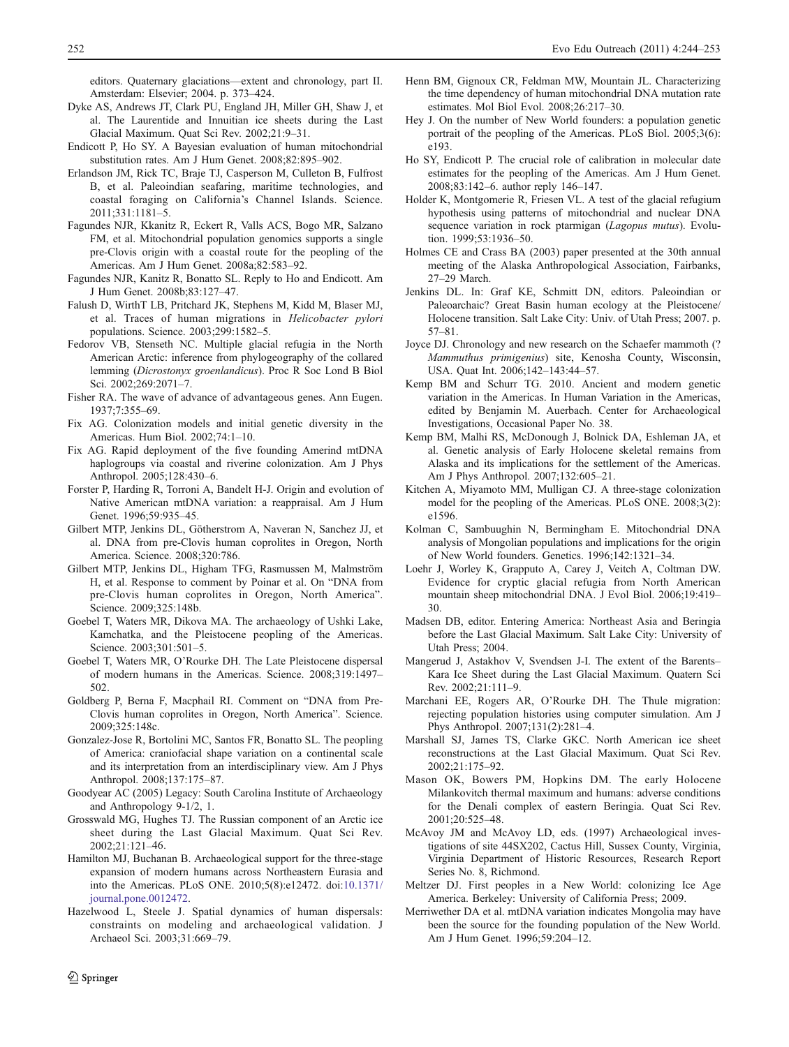<span id="page-8-0"></span>editors. Quaternary glaciations—extent and chronology, part II. Amsterdam: Elsevier; 2004. p. 373–424.

- Dyke AS, Andrews JT, Clark PU, England JH, Miller GH, Shaw J, et al. The Laurentide and Innuitian ice sheets during the Last Glacial Maximum. Quat Sci Rev. 2002;21:9–31.
- Endicott P, Ho SY. A Bayesian evaluation of human mitochondrial substitution rates. Am J Hum Genet. 2008;82:895–902.
- Erlandson JM, Rick TC, Braje TJ, Casperson M, Culleton B, Fulfrost B, et al. Paleoindian seafaring, maritime technologies, and coastal foraging on California's Channel Islands. Science. 2011;331:1181–5.
- Fagundes NJR, Kkanitz R, Eckert R, Valls ACS, Bogo MR, Salzano FM, et al. Mitochondrial population genomics supports a single pre-Clovis origin with a coastal route for the peopling of the Americas. Am J Hum Genet. 2008a;82:583–92.
- Fagundes NJR, Kanitz R, Bonatto SL. Reply to Ho and Endicott. Am J Hum Genet. 2008b;83:127–47.
- Falush D, WirthT LB, Pritchard JK, Stephens M, Kidd M, Blaser MJ, et al. Traces of human migrations in Helicobacter pylori populations. Science. 2003;299:1582–5.
- Fedorov VB, Stenseth NC. Multiple glacial refugia in the North American Arctic: inference from phylogeography of the collared lemming (Dicrostonyx groenlandicus). Proc R Soc Lond B Biol Sci. 2002;269:2071–7.
- Fisher RA. The wave of advance of advantageous genes. Ann Eugen. 1937;7:355–69.
- Fix AG. Colonization models and initial genetic diversity in the Americas. Hum Biol. 2002;74:1–10.
- Fix AG. Rapid deployment of the five founding Amerind mtDNA haplogroups via coastal and riverine colonization. Am J Phys Anthropol. 2005;128:430–6.
- Forster P, Harding R, Torroni A, Bandelt H-J. Origin and evolution of Native American mtDNA variation: a reappraisal. Am J Hum Genet. 1996;59:935–45.
- Gilbert MTP, Jenkins DL, Götherstrom A, Naveran N, Sanchez JJ, et al. DNA from pre-Clovis human coprolites in Oregon, North America. Science. 2008;320:786.
- Gilbert MTP, Jenkins DL, Higham TFG, Rasmussen M, Malmström H, et al. Response to comment by Poinar et al. On "DNA from pre-Clovis human coprolites in Oregon, North America". Science. 2009;325:148b.
- Goebel T, Waters MR, Dikova MA. The archaeology of Ushki Lake, Kamchatka, and the Pleistocene peopling of the Americas. Science. 2003;301:501-5.
- Goebel T, Waters MR, O'Rourke DH. The Late Pleistocene dispersal of modern humans in the Americas. Science. 2008;319:1497– 502.
- Goldberg P, Berna F, Macphail RI. Comment on "DNA from Pre-Clovis human coprolites in Oregon, North America". Science. 2009;325:148c.
- Gonzalez-Jose R, Bortolini MC, Santos FR, Bonatto SL. The peopling of America: craniofacial shape variation on a continental scale and its interpretation from an interdisciplinary view. Am J Phys Anthropol. 2008;137:175–87.
- Goodyear AC (2005) Legacy: South Carolina Institute of Archaeology and Anthropology 9-1/2, 1.
- Grosswald MG, Hughes TJ. The Russian component of an Arctic ice sheet during the Last Glacial Maximum. Quat Sci Rev. 2002;21:121–46.
- Hamilton MJ, Buchanan B. Archaeological support for the three-stage expansion of modern humans across Northeastern Eurasia and into the Americas. PLoS ONE. 2010;5(8):e12472. doi[:10.1371/](http://dx.doi.org/10.1371/journal.pone.0012472) [journal.pone.0012472.](http://dx.doi.org/10.1371/journal.pone.0012472)
- Hazelwood L, Steele J. Spatial dynamics of human dispersals: constraints on modeling and archaeological validation. J Archaeol Sci. 2003;31:669–79.
- Henn BM, Gignoux CR, Feldman MW, Mountain JL. Characterizing the time dependency of human mitochondrial DNA mutation rate estimates. Mol Biol Evol. 2008;26:217–30.
- Hey J. On the number of New World founders: a population genetic portrait of the peopling of the Americas. PLoS Biol. 2005;3(6): e193.
- Ho SY, Endicott P. The crucial role of calibration in molecular date estimates for the peopling of the Americas. Am J Hum Genet. 2008;83:142–6. author reply 146–147.
- Holder K, Montgomerie R, Friesen VL. A test of the glacial refugium hypothesis using patterns of mitochondrial and nuclear DNA sequence variation in rock ptarmigan (Lagopus mutus). Evolution. 1999;53:1936–50.
- Holmes CE and Crass BA (2003) paper presented at the 30th annual meeting of the Alaska Anthropological Association, Fairbanks, 27–29 March.
- Jenkins DL. In: Graf KE, Schmitt DN, editors. Paleoindian or Paleoarchaic? Great Basin human ecology at the Pleistocene/ Holocene transition. Salt Lake City: Univ. of Utah Press; 2007. p. 57–81.
- Joyce DJ. Chronology and new research on the Schaefer mammoth (? Mammuthus primigenius) site, Kenosha County, Wisconsin, USA. Quat Int. 2006;142–143:44–57.
- Kemp BM and Schurr TG. 2010. Ancient and modern genetic variation in the Americas. In Human Variation in the Americas, edited by Benjamin M. Auerbach. Center for Archaeological Investigations, Occasional Paper No. 38.
- Kemp BM, Malhi RS, McDonough J, Bolnick DA, Eshleman JA, et al. Genetic analysis of Early Holocene skeletal remains from Alaska and its implications for the settlement of the Americas. Am J Phys Anthropol. 2007;132:605–21.
- Kitchen A, Miyamoto MM, Mulligan CJ. A three-stage colonization model for the peopling of the Americas. PLoS ONE. 2008;3(2): e1596.
- Kolman C, Sambuughin N, Bermingham E. Mitochondrial DNA analysis of Mongolian populations and implications for the origin of New World founders. Genetics. 1996;142:1321–34.
- Loehr J, Worley K, Grapputo A, Carey J, Veitch A, Coltman DW. Evidence for cryptic glacial refugia from North American mountain sheep mitochondrial DNA. J Evol Biol. 2006;19:419– 30.
- Madsen DB, editor. Entering America: Northeast Asia and Beringia before the Last Glacial Maximum. Salt Lake City: University of Utah Press; 2004.
- Mangerud J, Astakhov V, Svendsen J-I. The extent of the Barents– Kara Ice Sheet during the Last Glacial Maximum. Quatern Sci Rev. 2002;21:111–9.
- Marchani EE, Rogers AR, O'Rourke DH. The Thule migration: rejecting population histories using computer simulation. Am J Phys Anthropol. 2007;131(2):281–4.
- Marshall SJ, James TS, Clarke GKC. North American ice sheet reconstructions at the Last Glacial Maximum. Quat Sci Rev. 2002;21:175–92.
- Mason OK, Bowers PM, Hopkins DM. The early Holocene Milankovitch thermal maximum and humans: adverse conditions for the Denali complex of eastern Beringia. Quat Sci Rev. 2001;20:525–48.
- McAvoy JM and McAvoy LD, eds. (1997) Archaeological investigations of site 44SX202, Cactus Hill, Sussex County, Virginia, Virginia Department of Historic Resources, Research Report Series No. 8, Richmond.
- Meltzer DJ. First peoples in a New World: colonizing Ice Age America. Berkeley: University of California Press; 2009.
- Merriwether DA et al. mtDNA variation indicates Mongolia may have been the source for the founding population of the New World. Am J Hum Genet. 1996;59:204–12.